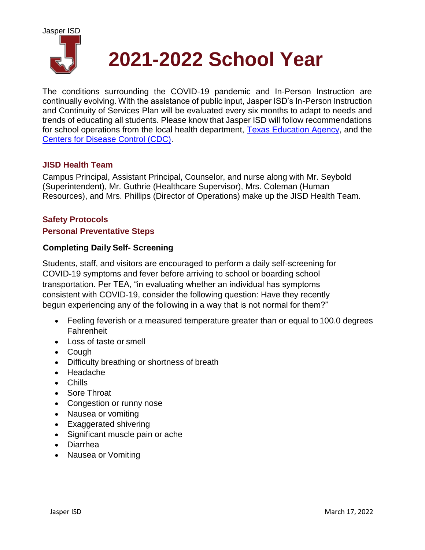

# **2021-2022 School Year**

The conditions surrounding the COVID-19 pandemic and In-Person Instruction are continually evolving. With the assistance of public input, Jasper ISD's In-Person Instruction and Continuity of Services Plan will be evaluated every six months to adapt to needs and trends of educating all students. Please know that Jasper ISD will follow recommendations for school operations from the local health department, [Texas Education Agency,](https://tea.texas.gov/sites/default/files/covid/SY-20-21-Public-Health-Guidance.pdf) and the [Centers for Disease Control \(CDC\).](https://www.cdc.gov/coronavirus/2019-ncov/community/schools-childcare/k-12-guidance.html)

#### **JISD Health Team**

Campus Principal, Assistant Principal, Counselor, and nurse along with Mr. Seybold (Superintendent), Mr. Guthrie (Healthcare Supervisor), Mrs. Coleman (Human Resources), and Mrs. Phillips (Director of Operations) make up the JISD Health Team.

#### **Safety Protocols**

#### **Personal Preventative Steps**

#### **Completing Daily Self- Screening**

Students, staff, and visitors are encouraged to perform a daily self-screening for COVID-19 symptoms and fever before arriving to school or boarding school transportation. Per TEA, "in evaluating whether an individual has symptoms consistent with COVID-19, consider the following question: Have they recently begun experiencing any of the following in a way that is not normal for them?"

- Feeling feverish or a measured temperature greater than or equal to 100.0 degrees Fahrenheit
- Loss of taste or smell
- Cough
- Difficulty breathing or shortness of breath
- Headache
- Chills
- Sore Throat
- Congestion or runny nose
- Nausea or vomiting
- Exaggerated shivering
- Significant muscle pain or ache
- Diarrhea
- Nausea or Vomiting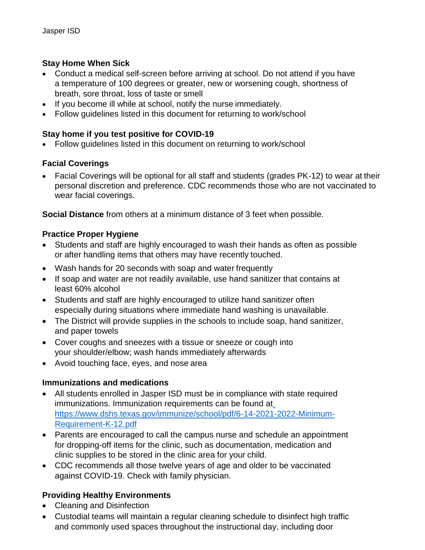## **Stay Home When Sick**

- Conduct a medical self-screen before arriving at school. Do not attend if you have a temperature of 100 degrees or greater, new or worsening cough, shortness of breath, sore throat, loss of taste or smell
- If you become ill while at school, notify the nurse immediately.
- Follow guidelines listed in this document for returning to work/school

## **Stay home if you test positive for COVID-19**

Follow guidelines listed in this document on returning to work/school

## **Facial Coverings**

 Facial Coverings will be optional for all staff and students (grades PK-12) to wear at their personal discretion and preference. CDC recommends those who are not vaccinated to wear facial coverings.

**Social Distance** from others at a minimum distance of 3 feet when possible.

## **Practice Proper Hygiene**

- Students and staff are highly encouraged to wash their hands as often as possible or after handling items that others may have recently touched.
- Wash hands for 20 seconds with soap and water frequently
- If soap and water are not readily available, use hand sanitizer that contains at least 60% alcohol
- Students and staff are highly encouraged to utilize hand sanitizer often especially during situations where immediate hand washing is unavailable.
- The District will provide supplies in the schools to include soap, hand sanitizer, and paper towels
- Cover coughs and sneezes with a tissue or sneeze or cough into your shoulder/elbow; wash hands immediately afterwards
- Avoid touching face, eyes, and nose area

## **Immunizations and medications**

- All students enrolled in Jasper ISD must be in compliance with state required immunizations. Immunization requirements can be found at https://www.dshs.texas.gov/immunize/school/pdf/6-14-2021-2022-Minimum-Requirement-K-12.pdf
- Parents are encouraged to call the campus nurse and schedule an appointment for dropping-off items for the clinic, such as documentation, medication and clinic supplies to be stored in the clinic area for your child.
- CDC recommends all those twelve years of age and older to be vaccinated against COVID-19. Check with family physician.

## **Providing Healthy Environments**

- Cleaning and Disinfection
- Custodial teams will maintain a regular cleaning schedule to disinfect high traffic and commonly used spaces throughout the instructional day, including door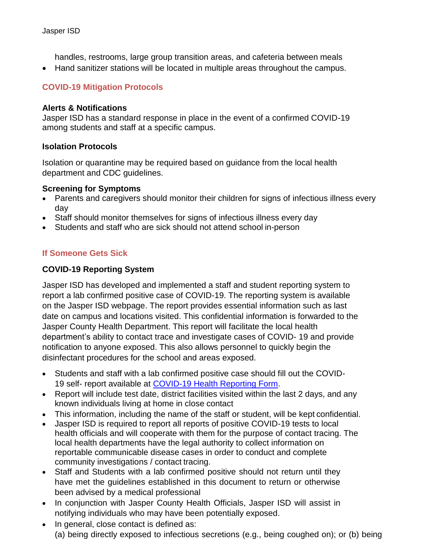handles, restrooms, large group transition areas, and cafeteria between meals

Hand sanitizer stations will be located in multiple areas throughout the campus.

## **COVID-19 Mitigation Protocols**

#### **Alerts & Notifications**

Jasper ISD has a standard response in place in the event of a confirmed COVID-19 among students and staff at a specific campus.

#### **Isolation Protocols**

Isolation or quarantine may be required based on guidance from the local health department and CDC guidelines.

#### **Screening for Symptoms**

- Parents and caregivers should monitor their children for signs of infectious illness every day
- Staff should monitor themselves for signs of infectious illness every day
- Students and staff who are sick should not attend school in-person

## **If Someone Gets Sick**

#### **COVID-19 Reporting System**

Jasper ISD has developed and implemented a staff and student reporting system to report a lab confirmed positive case of COVID-19. The reporting system is available on the Jasper ISD webpage. The report provides essential information such as last date on campus and locations visited. This confidential information is forwarded to the Jasper County Health Department. This report will facilitate the local health department's ability to contact trace and investigate cases of COVID- 19 and provide notification to anyone exposed. This also allows personnel to quickly begin the disinfectant procedures for the school and areas exposed.

- Students and staff with a lab confirmed positive case should fill out the COVID-19 self- report available at [COVID-19 Health Reporting Form.](https://forms.gle/eTF8p176rtgfiuE79)
- Report will include test date, district facilities visited within the last 2 days, and any known individuals living at home in close contact
- This information, including the name of the staff or student, will be kept confidential.
- Jasper ISD is required to report all reports of positive COVID-19 tests to local health officials and will cooperate with them for the purpose of contact tracing. The local health departments have the legal authority to collect information on reportable communicable disease cases in order to conduct and complete community investigations / contact tracing.
- Staff and Students with a lab confirmed positive should not return until they have met the guidelines established in this document to return or otherwise been advised by a medical professional
- In conjunction with Jasper County Health Officials, Jasper ISD will assist in notifying individuals who may have been potentially exposed.
- In general, close contact is defined as: (a) being directly exposed to infectious secretions (e.g., being coughed on); or (b) being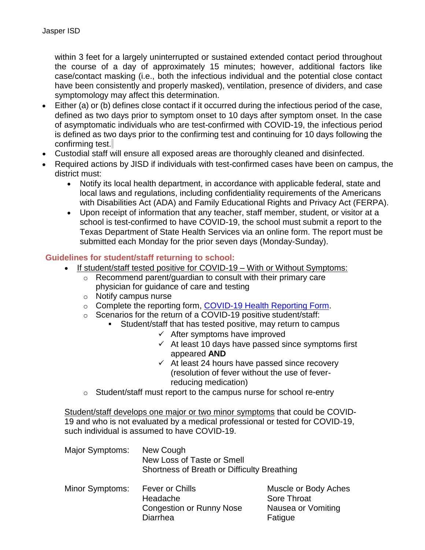within 3 feet for a largely uninterrupted or sustained extended contact period throughout the course of a day of approximately 15 minutes; however, additional factors like case/contact masking (i.e., both the infectious individual and the potential close contact have been consistently and properly masked), ventilation, presence of dividers, and case symptomology may affect this determination.

- Either (a) or (b) defines close contact if it occurred during the infectious period of the case, defined as two days prior to symptom onset to 10 days after symptom onset. In the case of asymptomatic individuals who are test-confirmed with COVID-19, the infectious period is defined as two days prior to the confirming test and continuing for 10 days following the confirming test.
- Custodial staff will ensure all exposed areas are thoroughly cleaned and disinfected.
- Required actions by JISD if individuals with test-confirmed cases have been on campus, the district must:
	- Notify its local health department, in accordance with applicable federal, state and local laws and regulations, including confidentiality requirements of the Americans with Disabilities Act (ADA) and Family Educational Rights and Privacy Act (FERPA).
	- Upon receipt of information that any teacher, staff member, student, or visitor at a school is test-confirmed to have COVID-19, the school must submit a report to the Texas Department of State Health Services via an online form. The report must be submitted each Monday for the prior seven days (Monday-Sunday).

#### **Guidelines for student/staff returning to school:**

- If student/staff tested positive for COVID-19 With or Without Symptoms:
	- o Recommend parent/guardian to consult with their primary care physician for guidance of care and testing
	- o Notify campus nurse
	- o Complete the reporting form, [COVID-19 Health Reporting Form.](https://docs.google.com/forms/d/e/1FAIpQLSfDPQHpBjSF-HZybXgKtia6zgO0IU7RWFjAUlcUpMmeM8VmxA/viewform?usp=sf_link)
	- o Scenarios for the return of a COVID-19 positive student/staff:
		- Student/staff that has tested positive, may return to campus
			- $\checkmark$  After symptoms have improved
			- $\checkmark$  At least 10 days have passed since symptoms first appeared **AND**
			- $\checkmark$  At least 24 hours have passed since recovery (resolution of fever without the use of feverreducing medication)
	- o Student/staff must report to the campus nurse for school re-entry

Student/staff develops one major or two minor symptoms that could be COVID-19 and who is not evaluated by a medical professional or tested for COVID-19, such individual is assumed to have COVID-19.

| Major Symptoms: | New Cough<br>New Loss of Taste or Smell<br>Shortness of Breath or Difficulty Breathing |                                     |
|-----------------|----------------------------------------------------------------------------------------|-------------------------------------|
| Minor Symptoms: | <b>Fever or Chills</b><br>Headache                                                     | Muscle or Body Aches<br>Sore Throat |
|                 | <b>Congestion or Runny Nose</b><br>Diarrhea                                            | Nausea or Vomiting<br>Fatigue       |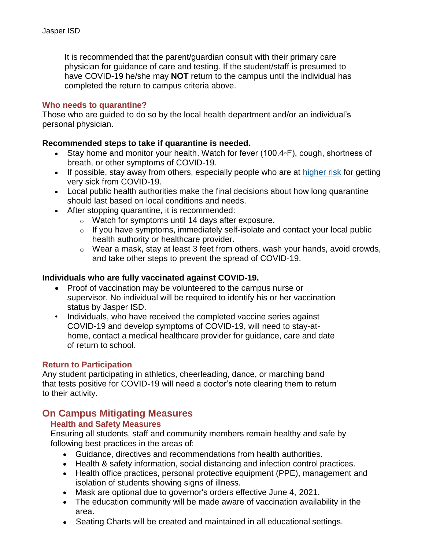It is recommended that the parent/guardian consult with their primary care physician for guidance of care and testing. If the student/staff is presumed to have COVID-19 he/she may **NOT** return to the campus until the individual has completed the return to campus criteria above.

#### **Who needs to quarantine?**

Those who are guided to do so by the local health department and/or an individual's personal physician.

#### **Recommended steps to take if quarantine is needed.**

- Stay home and monitor your health. Watch for fever (100.4◦F), cough, shortness of breath, or [other symptoms](https://www.cdc.gov/coronavirus/2019-ncov/symptoms-testing/symptoms.html) of COVID-19.
- If possible, stay away from others, especially people who are at [higher risk](https://www.cdc.gov/coronavirus/2019-ncov/need-extra-precautions/people-at-higher-risk.html) for getting very sick from COVID-19.
- Local public health authorities make the final decisions about how long quarantine should last based on local conditions and needs.
- After stopping quarantine, it is recommended:
	- o Watch for symptoms until 14 days after exposure.
	- o If you have symptoms, immediately self-isolate and contact your local public health authority or healthcare provider.
	- o Wear a mask, stay at least 3 feet from others, wash your hands, avoid crowds, and take other steps to [prevent the spread of COVID-19.](https://www.cdc.gov/coronavirus/2019-ncov/prevent-getting-sick/prevention.html)

#### **Individuals who are fully vaccinated against COVID-19.**

- Proof of vaccination may be volunteered to the campus nurse or supervisor. No individual will be required to identify his or her vaccination status by Jasper ISD.
- Individuals, who have received the completed vaccine series against COVID-19 and develop symptoms of COVID-19, will need to stay-athome, contact a medical healthcare provider for guidance, care and date of return to school.

#### **Return to Participation**

Any student participating in athletics, cheerleading, dance, or marching band that tests positive for COVID-19 will need a doctor's note clearing them to return to their activity.

## **On Campus Mitigating Measures**

#### **Health and Safety Measures**

Ensuring all students, staff and community members remain healthy and safe by following best practices in the areas of:

- Guidance, directives and recommendations from health authorities.
- Health & safety information, social distancing and infection control practices.
- Health office practices, personal protective equipment (PPE), management and isolation of students showing signs of illness.
- Mask are optional due to governor's orders effective June 4, 2021.
- The education community will be made aware of vaccination availability in the area.
- Seating Charts will be created and maintained in all educational settings.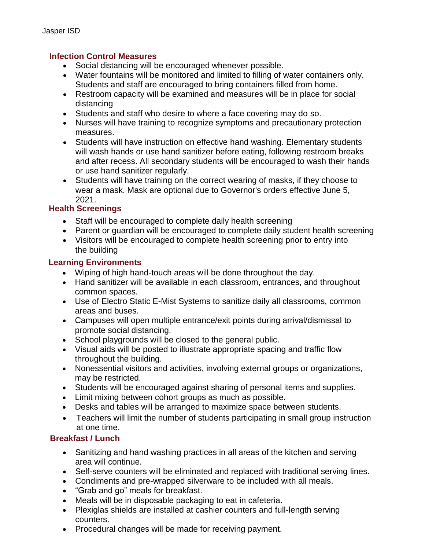#### **Infection Control Measures**

- Social distancing will be encouraged whenever possible.
- Water fountains will be monitored and limited to filling of water containers only. Students and staff are encouraged to bring containers filled from home.
- Restroom capacity will be examined and measures will be in place for social distancing
- Students and staff who desire to where a face covering may do so.
- Nurses will have training to recognize symptoms and precautionary protection measures.
- Students will have instruction on effective hand washing. Elementary students will wash hands or use hand sanitizer before eating, following restroom breaks and after recess. All secondary students will be encouraged to wash their hands or use hand sanitizer regularly.
- Students will have training on the correct wearing of masks, if they choose to wear a mask. Mask are optional due to Governor's orders effective June 5, 2021.

## **Health Screenings**

- Staff will be encouraged to complete daily health screening
- Parent or guardian will be encouraged to complete daily student health screening
- Visitors will be encouraged to complete health screening prior to entry into the building

## **Learning Environments**

- Wiping of high hand-touch areas will be done throughout the day.
- Hand sanitizer will be available in each classroom, entrances, and throughout common spaces.
- Use of Electro Static E-Mist Systems to sanitize daily all classrooms, common areas and buses.
- Campuses will open multiple entrance/exit points during arrival/dismissal to promote social distancing.
- School playgrounds will be closed to the general public.
- Visual aids will be posted to illustrate appropriate spacing and traffic flow throughout the building.
- Nonessential visitors and activities, involving external groups or organizations, may be restricted.
- Students will be encouraged against sharing of personal items and supplies.
- Limit mixing between cohort groups as much as possible.
- Desks and tables will be arranged to maximize space between students.
- Teachers will limit the number of students participating in small group instruction at one time.

## **Breakfast / Lunch**

- Sanitizing and hand washing practices in all areas of the kitchen and serving area will continue.
- Self-serve counters will be eliminated and replaced with traditional serving lines.
- Condiments and pre-wrapped silverware to be included with all meals.
- "Grab and go" meals for breakfast.
- Meals will be in disposable packaging to eat in cafeteria.
- Plexiglas shields are installed at cashier counters and full-length serving counters.
- Procedural changes will be made for receiving payment.